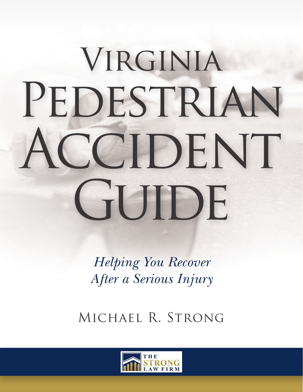# VIRGINIA PEDESTRIAN ACCIDENT GUIDE

*Helping You Recover After a Serious Injury*

Michael R. Strong

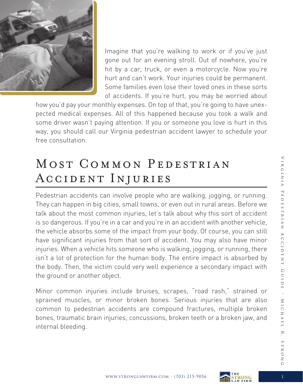

Imagine that you're walking to work or if you've just gone out for an evening stroll. Out of nowhere, you're hit by a car, truck, or even a motorcycle. Now you're hurt and can't work. Your injuries could be permanent. Some families even lose their loved ones in these sorts of accidents. If you're hurt, you may be worried about

how you'd pay your monthly expenses. On top of that, you're going to have unexpected medical expenses. All of this happened because you took a walk and some driver wasn't paying attention. If you or someone you love is hurt in this way, you should call our Virginia pedestrian accident lawyer to schedule your free consultation.

# MOST COMMON PEDESTRIAN Accident Injuries

Pedestrian accidents can involve people who are walking, jogging, or running. They can happen in big cities, small towns, or even out in rural areas. Before we talk about the most common injuries, let's talk about why this sort of accident is so dangerous. If you're in a car and you're in an accident with another vehicle, the vehicle absorbs some of the impact from your body. Of course, you can still have significant injuries from that sort of accident. You may also have minor injuries. When a vehicle hits someone who is walking, jogging, or running, there isn't a lot of protection for the human body. The entire impact is absorbed by the body. Then, the victim could very well experience a secondary impact with the ground or another object.

Minor common injuries include bruises, scrapes, "road rash," strained or sprained muscles, or minor broken bones. Serious injuries that are also common to pedestrian accidents are compound fractures, multiple broken bones, traumatic brain injuries, concussions, broken teeth or a broken jaw, and internal bleeding.

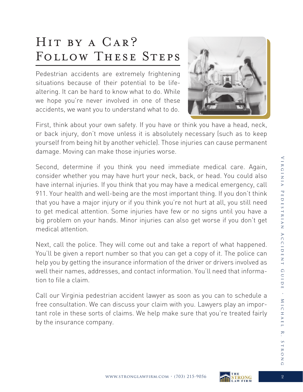# Hit by a Car? FOLLOW THESE STEPS

Pedestrian accidents are extremely frightening situations because of their potential to be lifealtering. It can be hard to know what to do. While we hope you're never involved in one of these accidents, we want you to understand what to do.



First, think about your own safety. If you have or think you have a head, neck, or back injury, don't move unless it is absolutely necessary (such as to keep yourself from being hit by another vehicle). Those injuries can cause permanent damage. Moving can make those injuries worse.

Second, determine if you think you need immediate medical care. Again, consider whether you may have hurt your neck, back, or head. You could also have internal injuries. If you think that you may have a medical emergency, call 911. Your health and well-being are the most important thing. If you don't think that you have a major injury or if you think you're not hurt at all, you still need to get medical attention. Some injuries have few or no signs until you have a big problem on your hands. Minor injuries can also get worse if you don't get medical attention.

Next, call the police. They will come out and take a report of what happened. You'll be given a report number so that you can get a copy of it. The police can help you by getting the insurance information of the driver or drivers involved as well their names, addresses, and contact information. You'll need that information to file a claim.

Call our Virginia pedestrian accident lawyer as soon as you can to schedule a free consultation. We can discuss your claim with you. Lawyers play an important role in these sorts of claims. We help make sure that you're treated fairly by the insurance company.

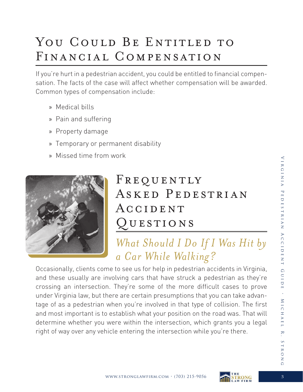# YOU COULD BE ENTITLED TO Financial Compensation

If you're hurt in a pedestrian accident, you could be entitled to financial compensation. The facts of the case will affect whether compensation will be awarded. Common types of compensation include:

- » Medical bills
- » Pain and suffering
- » Property damage
- » Temporary or permanent disability
- » Missed time from work



# FREQUENTLY ASKED PEDESTRIAN Accident Questions

## *What Should I Do If I Was Hit by a Car While Walking?*

Occasionally, clients come to see us for help in pedestrian accidents in Virginia, and these usually are involving cars that have struck a pedestrian as they're crossing an intersection. They're some of the more difficult cases to prove under Virginia law, but there are certain presumptions that you can take advantage of as a pedestrian when you're involved in that type of collision. The first and most important is to establish what your position on the road was. That will determine whether you were within the intersection, which grants you a legal right of way over any vehicle entering the intersection while you're there.

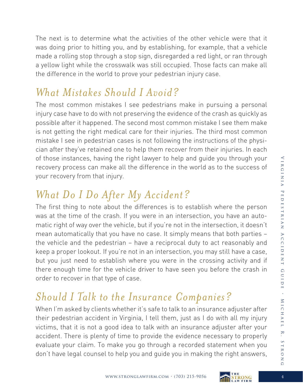The next is to determine what the activities of the other vehicle were that it was doing prior to hitting you, and by establishing, for example, that a vehicle made a rolling stop through a stop sign, disregarded a red light, or ran through a yellow light while the crosswalk was still occupied. Those facts can make all the difference in the world to prove your pedestrian injury case.

### *What Mistakes Should I Avoid?*

The most common mistakes I see pedestrians make in pursuing a personal injury case have to do with not preserving the evidence of the crash as quickly as possible after it happened. The second most common mistake I see them make is not getting the right medical care for their injuries. The third most common mistake I see in pedestrian cases is not following the instructions of the physician after they've retained one to help them recover from their injuries. In each of those instances, having the right lawyer to help and guide you through your recovery process can make all the difference in the world as to the success of your recovery from that injury.

## *What Do I Do After My Accident?*

The first thing to note about the differences is to establish where the person was at the time of the crash. If you were in an intersection, you have an automatic right of way over the vehicle, but if you're not in the intersection, it doesn't mean automatically that you have no case. It simply means that both parties – the vehicle and the pedestrian – have a reciprocal duty to act reasonably and keep a proper lookout. If you're not in an intersection, you may still have a case, but you just need to establish where you were in the crossing activity and if there enough time for the vehicle driver to have seen you before the crash in order to recover in that type of case.

## *Should I Talk to the Insurance Companies?*

When I'm asked by clients whether it's safe to talk to an insurance adjuster after their pedestrian accident in Virginia, I tell them, just as I do with all my injury victims, that it is not a good idea to talk with an insurance adjuster after your accident. There is plenty of time to provide the evidence necessary to properly evaluate your claim. To make you go through a recorded statement when you don't have legal counsel to help you and guide you in making the right answers,



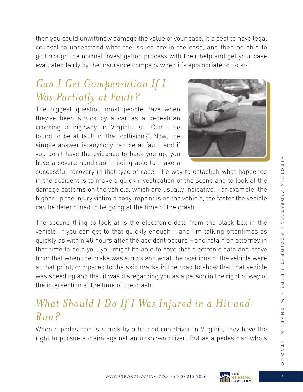then you could unwittingly damage the value of your case. It's best to have legal counsel to understand what the issues are in the case, and then be able to go through the normal investigation process with their help and get your case evaluated fairly by the insurance company when it's appropriate to do so.

## *Can I Get Compensation If I Was Partially at Fault?*

The biggest question most people have when they've been struck by a car as a pedestrian crossing a highway in Virginia is, "Can I be found to be at fault in that collision?" Now, the simple answer is anybody can be at fault, and if you don't have the evidence to back you up, you have a severe handicap in being able to make a



successful recovery in that type of case. The way to establish what happened in the accident is to make a quick investigation of the scene and to look at the damage patterns on the vehicle, which are usually indicative. For example, the higher up the injury victim's body imprint is on the vehicle, the faster the vehicle can be determined to be going at the time of the crash.

The second thing to look at is the electronic data from the black box in the vehicle. If you can get to that quickly enough – and I'm talking oftentimes as quickly as within 48 hours after the accident occurs – and retain an attorney in that time to help you, you might be able to save that electronic data and prove from that when the brake was struck and what the positions of the vehicle were at that point, compared to the skid marks in the road to show that that vehicle was speeding and that it was disregarding you as a person in the right of way of the intersection at the time of the crash.

### *What Should I Do If I Was Injured in a Hit and Run?*

When a pedestrian is struck by a hit and run driver in Virginia, they have the right to pursue a claim against an unknown driver. But as a pedestrian who's

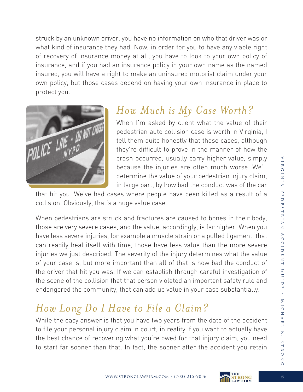struck by an unknown driver, you have no information on who that driver was or what kind of insurance they had. Now, in order for you to have any viable right of recovery of insurance money at all, you have to look to your own policy of insurance, and if you had an insurance policy in your own name as the named insured, you will have a right to make an uninsured motorist claim under your own policy, but those cases depend on having your own insurance in place to protect you.



#### *How Much is My Case Worth?*

When I'm asked by client what the value of their pedestrian auto collision case is worth in Virginia, I tell them quite honestly that those cases, although they're difficult to prove in the manner of how the crash occurred, usually carry higher value, simply because the injuries are often much worse. We'll determine the value of your pedestrian injury claim, in large part, by how bad the conduct was of the car

that hit you. We've had cases where people have been killed as a result of a collision. Obviously, that's a huge value case.

When pedestrians are struck and fractures are caused to bones in their body, those are very severe cases, and the value, accordingly, is far higher. When you have less severe injuries, for example a muscle strain or a pulled ligament, that can readily heal itself with time, those have less value than the more severe injuries we just described. The severity of the injury determines what the value of your case is, but more important than all of that is how bad the conduct of the driver that hit you was. If we can establish through careful investigation of the scene of the collision that that person violated an important safety rule and endangered the community, that can add up value in your case substantially.

## *How Long Do I Have to File a Claim?*

While the easy answer is that you have two years from the date of the accident to file your personal injury claim in court, in reality if you want to actually have the best chance of recovering what you're owed for that injury claim, you need to start far sooner than that. In fact, the sooner after the accident you retain



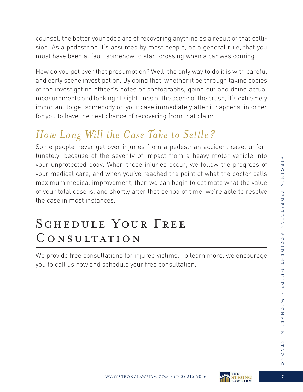counsel, the better your odds are of recovering anything as a result of that collision. As a pedestrian it's assumed by most people, as a general rule, that you must have been at fault somehow to start crossing when a car was coming.

How do you get over that presumption? Well, the only way to do it is with careful and early scene investigation. By doing that, whether it be through taking copies of the investigating officer's notes or photographs, going out and doing actual measurements and looking at sight lines at the scene of the crash, it's extremely important to get somebody on your case immediately after it happens, in order for you to have the best chance of recovering from that claim.

## *How Long Will the Case Take to Settle?*

Some people never get over injuries from a pedestrian accident case, unfortunately, because of the severity of impact from a heavy motor vehicle into your unprotected body. When those injuries occur, we follow the progress of your medical care, and when you've reached the point of what the doctor calls maximum medical improvement, then we can begin to estimate what the value of your total case is, and shortly after that period of time, we're able to resolve the case in most instances.

# SCHEDULE YOUR FREE CONSULTATION

We provide free consultations for injured victims. To learn more, we encourage you to call us now and schedule your free consultation.

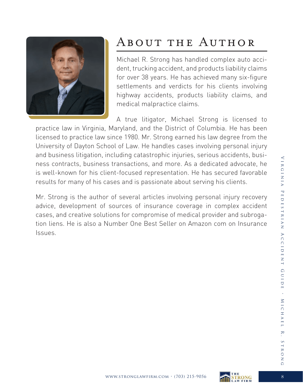

# About the Author

Michael R. Strong has handled complex auto accident, trucking accident, and products liability claims for over 38 years. He has achieved many six-figure settlements and verdicts for his clients involving highway accidents, products liability claims, and medical malpractice claims.

A true litigator, Michael Strong is licensed to practice law in Virginia, Maryland, and the District of Columbia. He has been licensed to practice law since 1980. Mr. Strong earned his law degree from the University of Dayton School of Law. He handles cases involving personal injury and business litigation, including catastrophic injuries, serious accidents, business contracts, business transactions, and more. As a dedicated advocate, he is well-known for his client-focused representation. He has secured favorable results for many of his cases and is passionate about serving his clients.

Mr. Strong is the author of several articles involving personal injury recovery advice, development of sources of insurance coverage in complex accident cases, and creative solutions for compromise of medical provider and subrogation liens. He is also a Number One Best Seller on Amazon com on Insurance Issues.